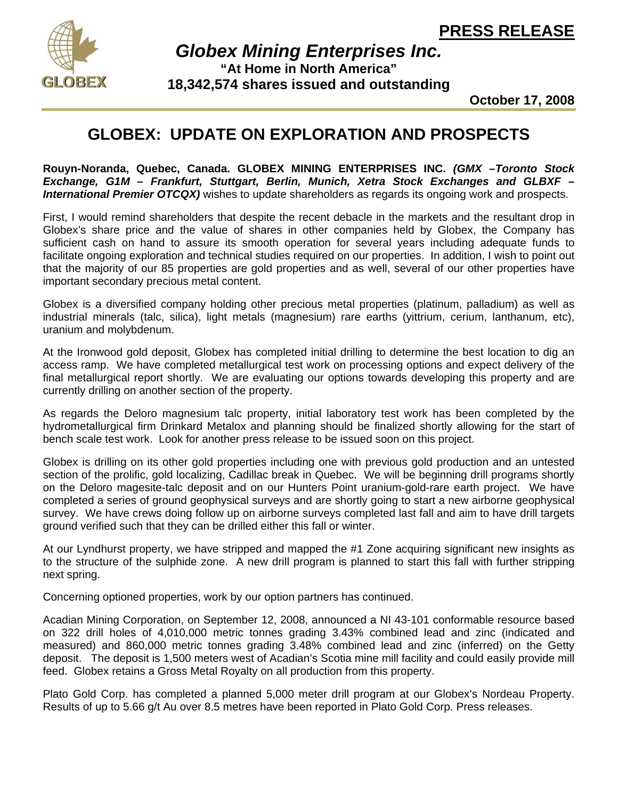

*Globex Mining Enterprises Inc.* **"At Home in North America" 18,342,574 shares issued and outstanding** 

**October 17, 2008**

## **GLOBEX: UPDATE ON EXPLORATION AND PROSPECTS**

**Rouyn-Noranda, Quebec, Canada. GLOBEX MINING ENTERPRISES INC.** *(GMX –Toronto Stock Exchange, G1M – Frankfurt, Stuttgart, Berlin, Munich, Xetra Stock Exchanges and GLBXF – International Premier OTCQX)* wishes to update shareholders as regards its ongoing work and prospects.

First, I would remind shareholders that despite the recent debacle in the markets and the resultant drop in Globex's share price and the value of shares in other companies held by Globex, the Company has sufficient cash on hand to assure its smooth operation for several years including adequate funds to facilitate ongoing exploration and technical studies required on our properties. In addition, I wish to point out that the majority of our 85 properties are gold properties and as well, several of our other properties have important secondary precious metal content.

Globex is a diversified company holding other precious metal properties (platinum, palladium) as well as industrial minerals (talc, silica), light metals (magnesium) rare earths (yittrium, cerium, lanthanum, etc), uranium and molybdenum.

At the Ironwood gold deposit, Globex has completed initial drilling to determine the best location to dig an access ramp. We have completed metallurgical test work on processing options and expect delivery of the final metallurgical report shortly. We are evaluating our options towards developing this property and are currently drilling on another section of the property.

As regards the Deloro magnesium talc property, initial laboratory test work has been completed by the hydrometallurgical firm Drinkard Metalox and planning should be finalized shortly allowing for the start of bench scale test work. Look for another press release to be issued soon on this project.

Globex is drilling on its other gold properties including one with previous gold production and an untested section of the prolific, gold localizing, Cadillac break in Quebec. We will be beginning drill programs shortly on the Deloro magesite-talc deposit and on our Hunters Point uranium-gold-rare earth project. We have completed a series of ground geophysical surveys and are shortly going to start a new airborne geophysical survey. We have crews doing follow up on airborne surveys completed last fall and aim to have drill targets ground verified such that they can be drilled either this fall or winter.

At our Lyndhurst property, we have stripped and mapped the #1 Zone acquiring significant new insights as to the structure of the sulphide zone. A new drill program is planned to start this fall with further stripping next spring.

Concerning optioned properties, work by our option partners has continued.

Acadian Mining Corporation, on September 12, 2008, announced a NI 43-101 conformable resource based on 322 drill holes of 4,010,000 metric tonnes grading 3.43% combined lead and zinc (indicated and measured) and 860,000 metric tonnes grading 3.48% combined lead and zinc (inferred) on the Getty deposit. The deposit is 1,500 meters west of Acadian's Scotia mine mill facility and could easily provide mill feed. Globex retains a Gross Metal Royalty on all production from this property.

Plato Gold Corp. has completed a planned 5,000 meter drill program at our Globex's Nordeau Property. Results of up to 5.66 g/t Au over 8.5 metres have been reported in Plato Gold Corp. Press releases.